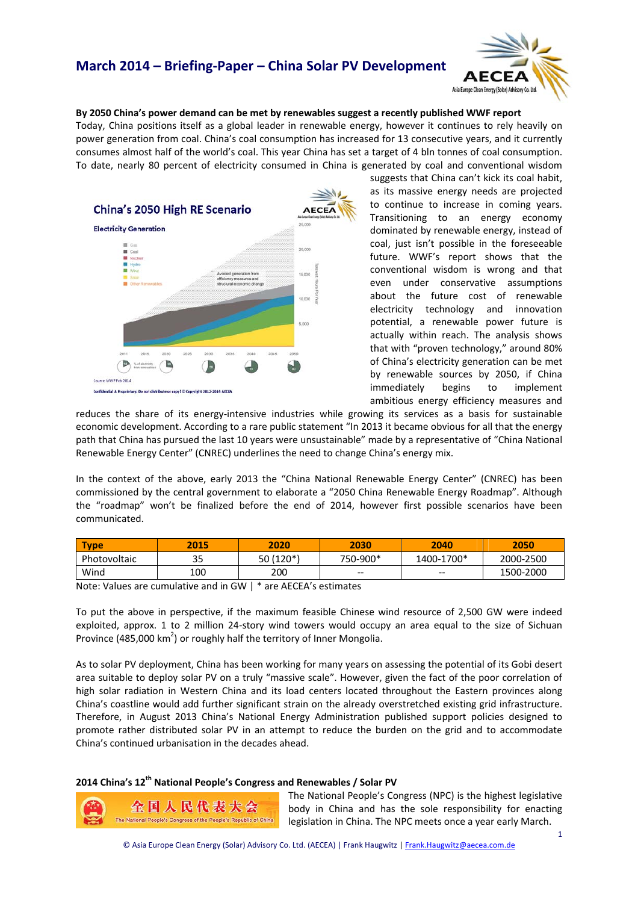# **March 2014 – Briefing‐Paper – China Solar PV Development**



### **By 2050 China's power demand can be met by renewables suggest a recently published WWF report**

Today, China positions itself as a global leader in renewable energy, however it continues to rely heavily on power generation from coal. China's coal consumption has increased for 13 consecutive years, and it currently consumes almost half of the world's coal. This year China has set a target of 4 bln tonnes of coal consumption. To date, nearly 80 percent of electricity consumed in China is generated by coal and conventional wisdom



suggests that China can't kick its coal habit, as its massive energy needs are projected to continue to increase in coming years. Transitioning to an energy economy dominated by renewable energy, instead of coal, just isn't possible in the foreseeable future. WWF's report shows that the conventional wisdom is wrong and that even under conservative assumptions about the future cost of renewable electricity technology and innovation potential, a renewable power future is actually within reach. The analysis shows that with "proven technology," around 80% of China's electricity generation can be met by renewable sources by 2050, if China immediately begins to implement ambitious energy efficiency measures and

reduces the share of its energy-intensive industries while growing its services as a basis for sustainable economic development. According to a rare public statement "In 2013 it became obvious for all that the energy path that China has pursued the last 10 years were unsustainable" made by a representative of "China National Renewable Energy Center" (CNREC) underlines the need to change China's energy mix.

In the context of the above, early 2013 the "China National Renewable Energy Center" (CNREC) has been commissioned by the central government to elaborate a "2050 China Renewable Energy Roadmap". Although the "roadmap" won't be finalized before the end of 2014, however first possible scenarios have been communicated.

| <b>Type</b>  | 2015      | 2020          | 2030     | 2040       | 2050      |
|--------------|-----------|---------------|----------|------------|-----------|
| Photovoltaic | 25<br>ر ر | '۱120 /<br>50 | 750-900* | 1400-1700* | 2000-2500 |
| Wind         | 100       | 200           | $- -$    | $- -$      | 1500-2000 |

Note: Values are cumulative and in GW | \* are AECEA's estimates

To put the above in perspective, if the maximum feasible Chinese wind resource of 2,500 GW were indeed exploited, approx. 1 to 2 million 24-story wind towers would occupy an area equal to the size of Sichuan Province (485,000 km<sup>2</sup>) or roughly half the territory of Inner Mongolia.

As to solar PV deployment, China has been working for many years on assessing the potential of its Gobi desert area suitable to deploy solar PV on a truly "massive scale". However, given the fact of the poor correlation of high solar radiation in Western China and its load centers located throughout the Eastern provinces along China's coastline would add further significant strain on the already overstretched existing grid infrastructure. Therefore, in August 2013 China's National Energy Administration published support policies designed to promote rather distributed solar PV in an attempt to reduce the burden on the grid and to accommodate China's continued urbanisation in the decades ahead.

### **2014 China's 12th National People's Congress and Renewables / Solar PV**



The National People's Congress (NPC) is the highest legislative body in China and has the sole responsibility for enacting legislation in China. The NPC meets once a year early March.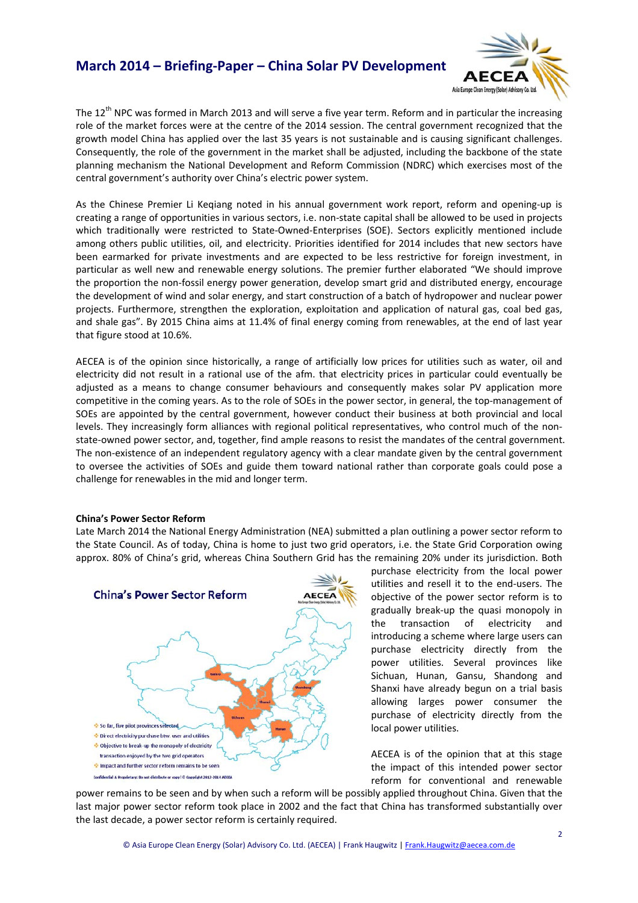### **March 2014 – Briefing‐Paper – China Solar PV Development**



The  $12<sup>th</sup>$  NPC was formed in March 2013 and will serve a five year term. Reform and in particular the increasing role of the market forces were at the centre of the 2014 session. The central government recognized that the growth model China has applied over the last 35 years is not sustainable and is causing significant challenges. Consequently, the role of the government in the market shall be adjusted, including the backbone of the state planning mechanism the National Development and Reform Commission (NDRC) which exercises most of the central government's authority over China's electric power system.

As the Chinese Premier Li Keqiang noted in his annual government work report, reform and opening‐up is creating a range of opportunities in various sectors, i.e. non‐state capital shall be allowed to be used in projects which traditionally were restricted to State-Owned-Enterprises (SOE). Sectors explicitly mentioned include among others public utilities, oil, and electricity. Priorities identified for 2014 includes that new sectors have been earmarked for private investments and are expected to be less restrictive for foreign investment, in particular as well new and renewable energy solutions. The premier further elaborated "We should improve the proportion the non‐fossil energy power generation, develop smart grid and distributed energy, encourage the development of wind and solar energy, and start construction of a batch of hydropower and nuclear power projects. Furthermore, strengthen the exploration, exploitation and application of natural gas, coal bed gas, and shale gas". By 2015 China aims at 11.4% of final energy coming from renewables, at the end of last year that figure stood at 10.6%.

AECEA is of the opinion since historically, a range of artificially low prices for utilities such as water, oil and electricity did not result in a rational use of the afm. that electricity prices in particular could eventually be adjusted as a means to change consumer behaviours and consequently makes solar PV application more competitive in the coming years. As to the role of SOEs in the power sector, in general, the top-management of SOEs are appointed by the central government, however conduct their business at both provincial and local levels. They increasingly form alliances with regional political representatives, who control much of the nonstate-owned power sector, and, together, find ample reasons to resist the mandates of the central government. The non-existence of an independent regulatory agency with a clear mandate given by the central government to oversee the activities of SOEs and guide them toward national rather than corporate goals could pose a challenge for renewables in the mid and longer term.

#### **China's Power Sector Reform**

Late March 2014 the National Energy Administration (NEA) submitted a plan outlining a power sector reform to the State Council. As of today, China is home to just two grid operators, i.e. the State Grid Corporation owing approx. 80% of China's grid, whereas China Southern Grid has the remaining 20% under its jurisdiction. Both



purchase electricity from the local power utilities and resell it to the end‐users. The objective of the power sector reform is to gradually break‐up the quasi monopoly in the transaction of electricity and introducing a scheme where large users can purchase electricity directly from the power utilities. Several provinces like Sichuan, Hunan, Gansu, Shandong and Shanxi have already begun on a trial basis allowing larges power consumer the purchase of electricity directly from the local power utilities.

AECEA is of the opinion that at this stage the impact of this intended power sector reform for conventional and renewable

power remains to be seen and by when such a reform will be possibly applied throughout China. Given that the last major power sector reform took place in 2002 and the fact that China has transformed substantially over the last decade, a power sector reform is certainly required.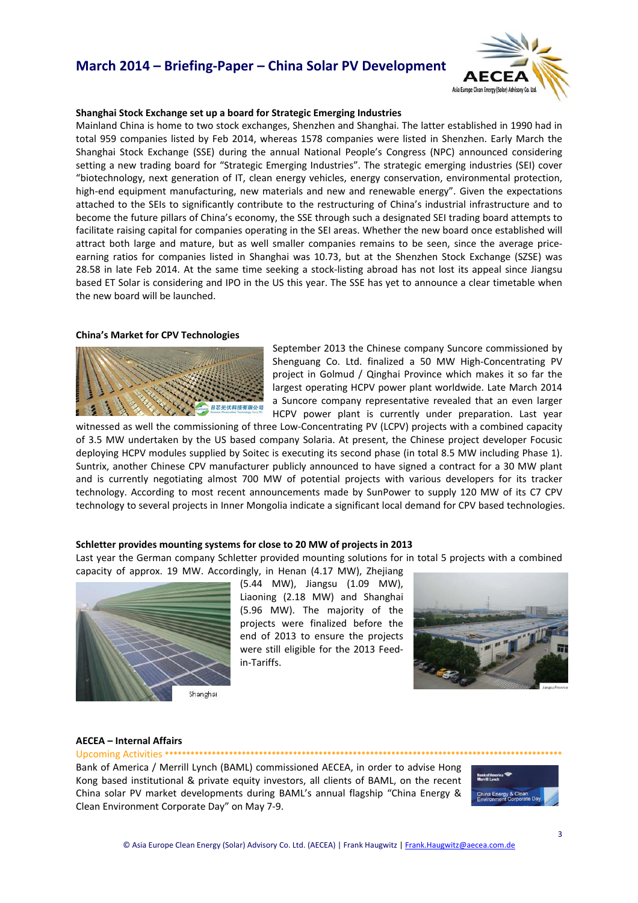## **March 2014 – Briefing‐Paper – China Solar PV Development**



#### **Shanghai Stock Exchange set up a board for Strategic Emerging Industries**

Mainland China is home to two stock exchanges, Shenzhen and Shanghai. The latter established in 1990 had in total 959 companies listed by Feb 2014, whereas 1578 companies were listed in Shenzhen. Early March the Shanghai Stock Exchange (SSE) during the annual National People's Congress (NPC) announced considering setting a new trading board for "Strategic Emerging Industries". The strategic emerging industries (SEI) cover "biotechnology, next generation of IT, clean energy vehicles, energy conservation, environmental protection, high-end equipment manufacturing, new materials and new and renewable energy". Given the expectations attached to the SEIs to significantly contribute to the restructuring of China's industrial infrastructure and to become the future pillars of China's economy, the SSE through such a designated SEI trading board attempts to facilitate raising capital for companies operating in the SEI areas. Whether the new board once established will attract both large and mature, but as well smaller companies remains to be seen, since the average price‐ earning ratios for companies listed in Shanghai was 10.73, but at the Shenzhen Stock Exchange (SZSE) was 28.58 in late Feb 2014. At the same time seeking a stock-listing abroad has not lost its appeal since Jiangsu based ET Solar is considering and IPO in the US this year. The SSE has yet to announce a clear timetable when the new board will be launched.

#### **China's Market for CPV Technologies**



September 2013 the Chinese company Suncore commissioned by Shenguang Co. Ltd. finalized a 50 MW High‐Concentrating PV project in Golmud / Qinghai Province which makes it so far the largest operating HCPV power plant worldwide. Late March 2014 a Suncore company representative revealed that an even larger HCPV power plant is currently under preparation. Last year

witnessed as well the commissioning of three Low-Concentrating PV (LCPV) projects with a combined capacity of 3.5 MW undertaken by the US based company Solaria. At present, the Chinese project developer Focusic deploying HCPV modules supplied by Soitec is executing its second phase (in total 8.5 MW including Phase 1). Suntrix, another Chinese CPV manufacturer publicly announced to have signed a contract for a 30 MW plant and is currently negotiating almost 700 MW of potential projects with various developers for its tracker technology. According to most recent announcements made by SunPower to supply 120 MW of its C7 CPV technology to several projects in Inner Mongolia indicate a significant local demand for CPV based technologies.

#### **Schletter provides mounting systems for close to 20 MW of projects in 2013**

Last year the German company Schletter provided mounting solutions for in total 5 projects with a combined



capacity of approx. 19 MW. Accordingly, in Henan (4.17 MW), Zhejiang (5.44 MW), Jiangsu (1.09 MW), Liaoning (2.18 MW) and Shanghai (5.96 MW). The majority of the projects were finalized before the end of 2013 to ensure the projects were still eligible for the 2013 Feed‐ in‐Tariffs.



#### **AECEA – Internal Affairs**

Bank of America / Merrill Lynch (BAML) commissioned AECEA, in order to advise Hong Kong based institutional & private equity investors, all clients of BAML, on the recent China solar PV market developments during BAML's annual flagship "China Energy & Clean Environment Corporate Day" on May 7‐9.

Upcoming Activities **\*\*\*\*\*\*\*\*\*\*\*\*\*\*\*\*\*\*\*\*\*\*\*\*\*\*\*\*\*\*\*\*\*\*\*\*\*\*\*\*\*\*\*\*\*\*\*\*\*\*\*\*\*\*\*\*\*\*\*\*\*\*\*\*\*\*\*\*\*\*\*\*\*\*\*\*\*\*\*\*\*\*\*\*\*\*\*\*\*\*\*\*\***